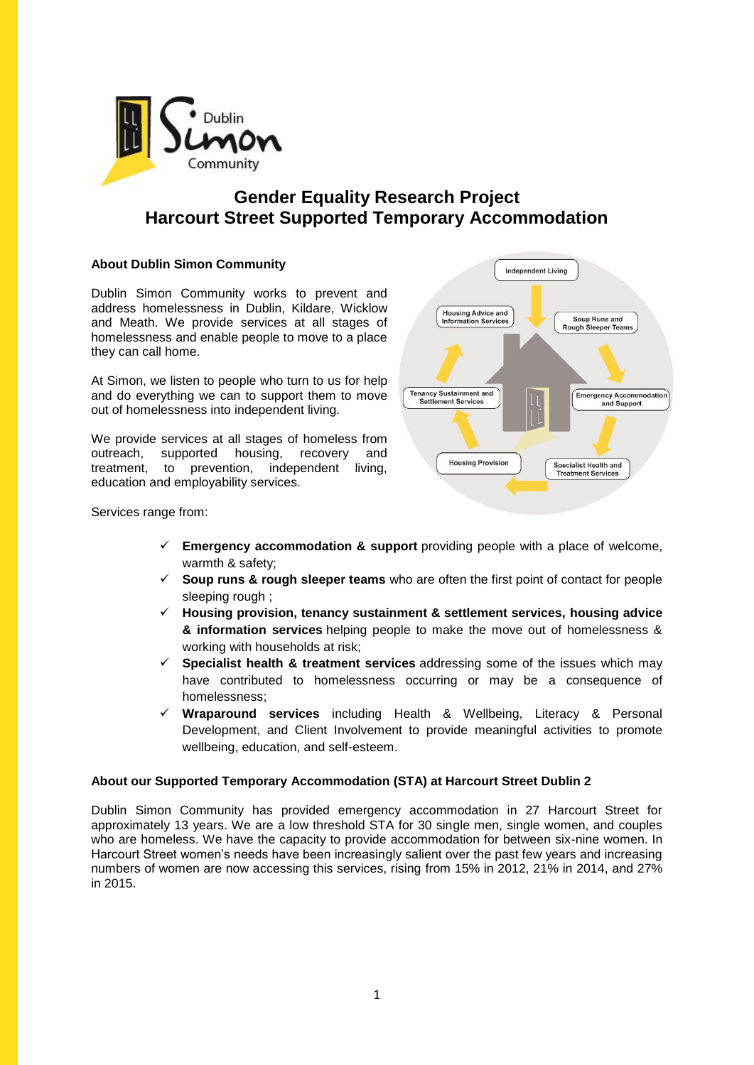

# **Gender Equality Research Project Harcourt Street Supported Temporary Accommodation**

# **About Dublin Simon Community**

Dublin Simon Community works to prevent and address homelessness in Dublin, Kildare, Wicklow and Meath. We provide services at all stages of homelessness and enable people to move to a place they can call home.

At Simon, we listen to people who turn to us for help and do everything we can to support them to move out of homelessness into independent living.

We provide services at all stages of homeless from outreach, supported housing, recovery and treatment, to prevention, independent living, education and employability services.



Services range from:

- **Emergency accommodation & support** providing people with a place of welcome, warmth & safety;
- **Soup runs & rough sleeper teams** who are often the first point of contact for people sleeping rough ;
- **Housing provision, tenancy sustainment & settlement services, housing advice & information services** helping people to make the move out of homelessness & working with households at risk;
- **Specialist health & treatment services** addressing some of the issues which may have contributed to homelessness occurring or may be a consequence of homelessness;
- **Wraparound services** including Health & Wellbeing, Literacy & Personal Development, and Client Involvement to provide meaningful activities to promote wellbeing, education, and self-esteem.

### **About our Supported Temporary Accommodation (STA) at Harcourt Street Dublin 2**

Dublin Simon Community has provided emergency accommodation in 27 Harcourt Street for approximately 13 years. We are a low threshold STA for 30 single men, single women, and couples who are homeless. We have the capacity to provide accommodation for between six-nine women. In Harcourt Street women's needs have been increasingly salient over the past few years and increasing numbers of women are now accessing this services, rising from 15% in 2012, 21% in 2014, and 27% in 2015.